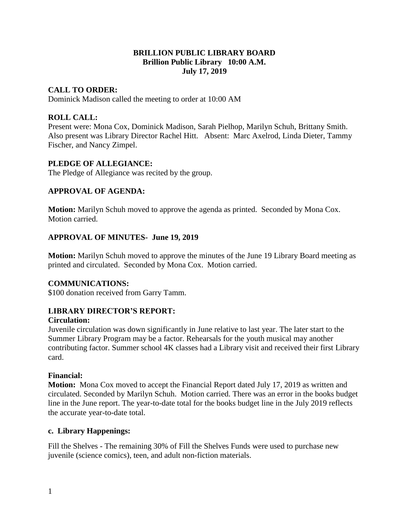### **BRILLION PUBLIC LIBRARY BOARD Brillion Public Library 10:00 A.M. July 17, 2019**

## **CALL TO ORDER:**

Dominick Madison called the meeting to order at 10:00 AM

### **ROLL CALL:**

Present were: Mona Cox, Dominick Madison, Sarah Pielhop, Marilyn Schuh, Brittany Smith. Also present was Library Director Rachel Hitt. Absent: Marc Axelrod, Linda Dieter, Tammy Fischer, and Nancy Zimpel.

#### **PLEDGE OF ALLEGIANCE:**

The Pledge of Allegiance was recited by the group.

### **APPROVAL OF AGENDA:**

**Motion:** Marilyn Schuh moved to approve the agenda as printed. Seconded by Mona Cox. Motion carried.

### **APPROVAL OF MINUTES- June 19, 2019**

**Motion:** Marilyn Schuh moved to approve the minutes of the June 19 Library Board meeting as printed and circulated. Seconded by Mona Cox. Motion carried.

#### **COMMUNICATIONS:**

\$100 donation received from Garry Tamm.

#### **LIBRARY DIRECTOR'S REPORT:**

#### **Circulation:**

Juvenile circulation was down significantly in June relative to last year. The later start to the Summer Library Program may be a factor. Rehearsals for the youth musical may another contributing factor. Summer school 4K classes had a Library visit and received their first Library card.

#### **Financial:**

**Motion:** Mona Cox moved to accept the Financial Report dated July 17, 2019 as written and circulated. Seconded by Marilyn Schuh. Motion carried. There was an error in the books budget line in the June report. The year-to-date total for the books budget line in the July 2019 reflects the accurate year-to-date total.

#### **c. Library Happenings:**

Fill the Shelves - The remaining 30% of Fill the Shelves Funds were used to purchase new juvenile (science comics), teen, and adult non-fiction materials.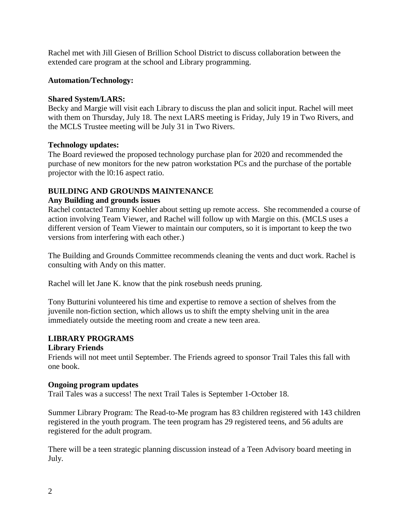Rachel met with Jill Giesen of Brillion School District to discuss collaboration between the extended care program at the school and Library programming.

## $Autom/Technology:$

### **Shared System/LARS:**

Becky and Margie will visit each Library to discuss the plan and solicit input. Rachel will meet with them on Thursday, July 18. The next LARS meeting is Friday, July 19 in Two Rivers, and the MCLS Trustee meeting will be July 31 in Two Rivers.

### **Technology updates:**

The Board reviewed the proposed technology purchase plan for 2020 and recommended the purchase of new monitors for the new patron workstation PCs and the purchase of the portable projector with the l0:16 aspect ratio.

# **BUILDING AND GROUNDS MAINTENANCE**

### **Any Building and grounds issues**

Rachel contacted Tammy Koehler about setting up remote access. She recommended a course of action involving Team Viewer, and Rachel will follow up with Margie on this. (MCLS uses a different version of Team Viewer to maintain our computers, so it is important to keep the two versions from interfering with each other.)

The Building and Grounds Committee recommends cleaning the vents and duct work. Rachel is consulting with Andy on this matter.

Rachel will let Jane K. know that the pink rosebush needs pruning.

Tony Butturini volunteered his time and expertise to remove a section of shelves from the juvenile non-fiction section, which allows us to shift the empty shelving unit in the area immediately outside the meeting room and create a new teen area.

## **LIBRARY PROGRAMS**

#### **Library Friends**

Friends will not meet until September. The Friends agreed to sponsor Trail Tales this fall with one book.

#### **Ongoing program updates**

Trail Tales was a success! The next Trail Tales is September 1-October 18.

Summer Library Program: The Read-to-Me program has 83 children registered with 143 children registered in the youth program. The teen program has 29 registered teens, and 56 adults are registered for the adult program.

There will be a teen strategic planning discussion instead of a Teen Advisory board meeting in July.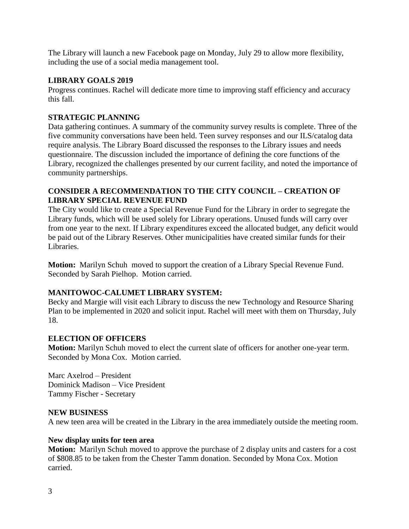The Library will launch a new Facebook page on Monday, July 29 to allow more flexibility, including the use of a social media management tool.

### **LIBRARY GOALS 2019**

Progress continues. Rachel will dedicate more time to improving staff efficiency and accuracy this fall.

## **STRATEGIC PLANNING**

Data gathering continues. A summary of the community survey results is complete. Three of the five community conversations have been held. Teen survey responses and our ILS/catalog data require analysis. The Library Board discussed the responses to the Library issues and needs questionnaire. The discussion included the importance of defining the core functions of the Library, recognized the challenges presented by our current facility, and noted the importance of community partnerships.

## **CONSIDER A RECOMMENDATION TO THE CITY COUNCIL – CREATION OF LIBRARY SPECIAL REVENUE FUND**

The City would like to create a Special Revenue Fund for the Library in order to segregate the Library funds, which will be used solely for Library operations. Unused funds will carry over from one year to the next. If Library expenditures exceed the allocated budget, any deficit would be paid out of the Library Reserves. Other municipalities have created similar funds for their Libraries.

**Motion:** Marilyn Schuh moved to support the creation of a Library Special Revenue Fund. Seconded by Sarah Pielhop. Motion carried.

## **MANITOWOC-CALUMET LIBRARY SYSTEM:**

Becky and Margie will visit each Library to discuss the new Technology and Resource Sharing Plan to be implemented in 2020 and solicit input. Rachel will meet with them on Thursday, July 18.

## **ELECTION OF OFFICERS**

**Motion:** Marilyn Schuh moved to elect the current slate of officers for another one-year term. Seconded by Mona Cox. Motion carried.

Marc Axelrod – President Dominick Madison – Vice President Tammy Fischer - Secretary

## **NEW BUSINESS**

A new teen area will be created in the Library in the area immediately outside the meeting room.

## **New display units for teen area**

**Motion:** Marilyn Schuh moved to approve the purchase of 2 display units and casters for a cost of \$808.85 to be taken from the Chester Tamm donation. Seconded by Mona Cox. Motion carried.